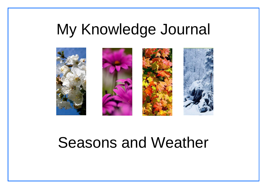# My Knowledge Journal



## Seasons and Weather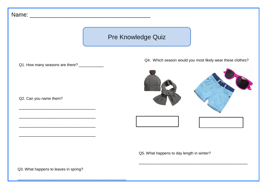## Pre Knowledge Quiz Name: \_\_\_\_\_\_\_\_\_\_\_\_\_\_\_\_\_\_\_\_\_\_\_\_\_\_\_\_\_\_\_\_\_\_\_\_\_\_ Q2. Can you name them? \_\_\_\_\_\_\_\_\_\_\_\_\_\_\_\_\_\_\_\_\_\_\_\_\_\_\_\_\_\_\_ \_\_\_\_\_\_\_\_\_\_\_\_\_\_\_\_\_\_\_\_\_\_\_\_\_\_\_\_\_\_\_ \_\_\_\_\_\_\_\_\_\_\_\_\_\_\_\_\_\_\_\_\_\_\_\_\_\_\_\_\_\_\_ Q4. Which season would you most likely wear these clothes? Q3. What happens to leaves in spring? Q1. How many seasons are there? \_\_\_\_\_\_\_\_\_\_\_ Q5. What happens to day length in winter? \_\_\_\_\_\_\_\_\_\_\_\_\_\_\_\_\_\_\_\_\_\_\_\_\_\_\_\_\_\_\_\_\_\_\_\_\_\_\_\_\_\_\_\_

\_\_\_\_\_\_\_\_\_\_\_\_\_\_\_\_\_\_\_\_\_\_\_\_\_\_\_\_\_\_\_\_\_\_\_\_\_\_\_\_\_\_\_\_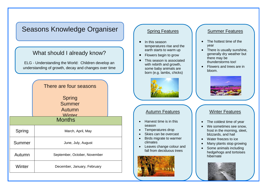### Seasons Knowledge Organiser

### What should I already know?

ELG - Understanding the World: Children develop an understanding of growth, decay and changes over time

|               | There are four seasons                                    |  |
|---------------|-----------------------------------------------------------|--|
|               | <b>Spring</b><br><b>Summer</b><br>Autumn<br><b>Winter</b> |  |
| <b>Months</b> |                                                           |  |
| Spring        | March, April, May                                         |  |
| Summer        | June, July, August                                        |  |
| Autumn        | September, October, November                              |  |
| Winter        | December, January, February                               |  |
|               |                                                           |  |

#### Spring Features

- In this season temperatures rise and the earth starts to warm up
- Flowers begin to grow
- This season is associated with rebirth and growth, some baby animals are born (e.g. lambs, chicks)



#### Autumn Features

- Harvest time is in this season
- Temperatures drop
- Skies can be overcast .
- Birds migrate to warmer climates
- Leaves change colour and fall from deciduous trees



#### Summer Features

- The hottest time of the year
- There is usually sunshine, generally dry weather but there may be thunderstorms too!
- Flowers and trees are in bloom.



#### Winter Features

- The coldest time of year
- We sometimes see snow. frost in the morning, sleet, blizzards, and hail
- Water freezes to ice
- Many plants stop growing
- Some animals including hedgehogs and tortoises hibernate.

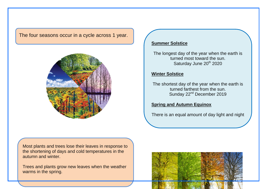The four seasons occur in a cycle across 1 year.



#### **Summer Solstice**

The longest day of the year when the earth is turned most toward the sun. Saturday June 20<sup>th</sup> 2020

#### **Winter Solstice**

The shortest day of the year when the earth is turned farthest from the sun. Sunday 22<sup>nd</sup> December 2019

#### **Spring and Autumn Equinox**

There is an equal amount of day light and night

Most plants and trees lose their leaves in response to the shortening of days and cold temperatures in the autumn and winter.

Trees and plants grow new leaves when the weather warms in the spring.

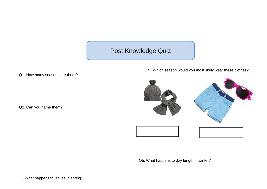### Post Knowledge Quiz

Q1. How many seasons are there? \_\_\_\_\_\_\_\_\_\_\_

\_\_\_\_\_\_\_\_\_\_\_\_\_\_\_\_\_\_\_\_\_\_\_\_\_\_\_\_\_\_\_

\_\_\_\_\_\_\_\_\_\_\_\_\_\_\_\_\_\_\_\_\_\_\_\_\_\_\_\_\_\_\_

\_\_\_\_\_\_\_\_\_\_\_\_\_\_\_\_\_\_\_\_\_\_\_\_\_\_\_\_\_\_\_

\_\_\_\_\_\_\_\_\_\_\_\_\_\_\_\_\_\_\_\_\_\_\_\_\_\_\_\_\_\_\_

\_\_\_\_\_\_\_\_\_\_\_\_\_\_\_\_\_\_\_\_\_\_\_\_\_\_\_\_\_\_\_\_\_\_\_\_\_\_\_\_\_\_\_\_

Q2. Can you name them?

Q4. Which season would you most likely wear these clothes?



\_\_\_\_\_\_\_\_\_\_\_\_\_\_\_\_\_\_\_\_\_\_\_\_\_\_\_\_\_\_\_\_\_\_\_\_\_\_\_\_\_\_\_\_





Q5. What happens to day length in winter?

Q3. What happens to leaves in spring?